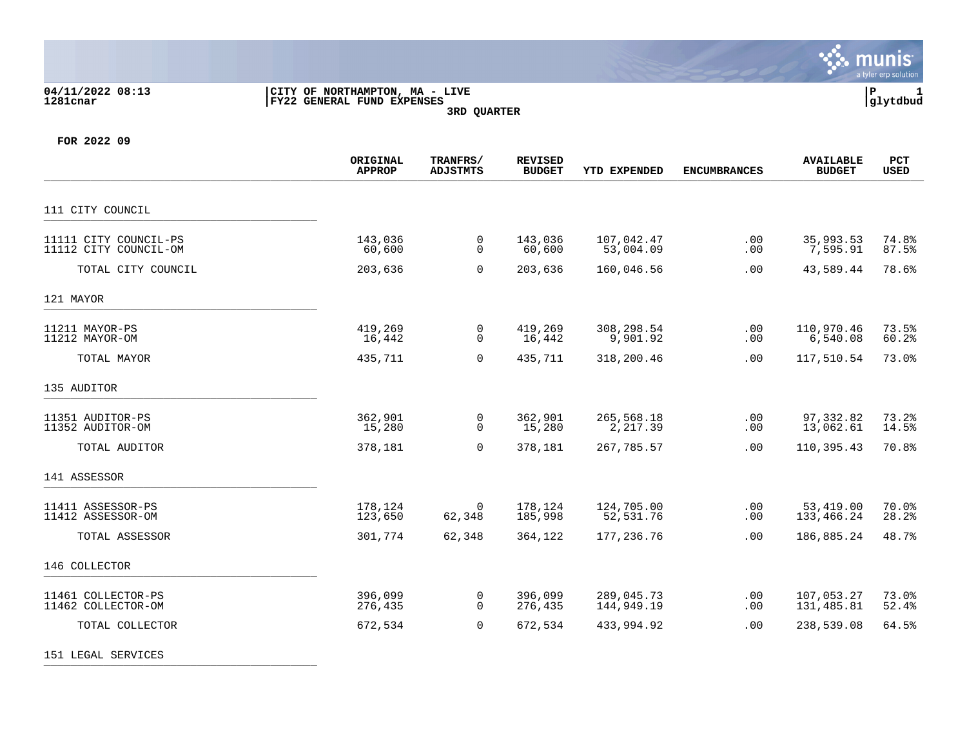

## **04/11/2022 08:13 |CITY OF NORTHAMPTON, MA - LIVE |P 1 1281cnar |FY22 GENERAL FUND EXPENSES |glytdbud 3RD QUARTER**



**FOR 2022 09**

151 LEGAL SERVICES \_\_\_\_\_\_\_\_\_\_\_\_\_\_\_\_\_\_\_\_\_\_\_\_\_\_\_\_\_\_\_\_\_\_\_\_\_\_\_\_\_

|                                                | ORIGINAL<br><b>APPROP</b> | TRANFRS/<br><b>ADJSTMTS</b> | <b>REVISED</b><br><b>BUDGET</b> | <b>YTD EXPENDED</b>      | <b>ENCUMBRANCES</b> | <b>AVAILABLE</b><br><b>BUDGET</b> | PCT<br><b>USED</b> |
|------------------------------------------------|---------------------------|-----------------------------|---------------------------------|--------------------------|---------------------|-----------------------------------|--------------------|
| 111 CITY COUNCIL                               |                           |                             |                                 |                          |                     |                                   |                    |
| 11111 CITY COUNCIL-PS<br>11112 CITY COUNCIL-OM | 143,036<br>60,600         | 0<br>$\mathbf 0$            | 143,036<br>60,600               | 107,042.47<br>53,004.09  | .00<br>.00          | 35,993.53<br>7,595.91             | 74.8%<br>87.5%     |
| TOTAL CITY COUNCIL                             | 203,636                   | $\mathbf 0$                 | 203,636                         | 160,046.56               | .00                 | 43,589.44                         | 78.6%              |
| 121 MAYOR                                      |                           |                             |                                 |                          |                     |                                   |                    |
| 11211 MAYOR-PS<br>11212 MAYOR-OM               | 419,269<br>16,442         | 0<br>$\mathbf 0$            | 419,269<br>16,442               | 308,298.54<br>9,901.92   | .00<br>.00          | 110,970.46<br>6,540.08            | 73.5%<br>60.2%     |
| TOTAL MAYOR                                    | 435,711                   | $\Omega$                    | 435,711                         | 318,200.46               | .00                 | 117,510.54                        | 73.0%              |
| 135 AUDITOR                                    |                           |                             |                                 |                          |                     |                                   |                    |
| 11351 AUDITOR-PS<br>11352 AUDITOR-OM           | 362,901<br>15,280         | 0<br>$\Omega$               | 362,901<br>15,280               | 265,568.18<br>2,217.39   | .00<br>.00          | 97,332.82<br>13,062.61            | 73.2%<br>14.5%     |
| TOTAL AUDITOR                                  | 378,181                   | $\Omega$                    | 378,181                         | 267,785.57               | .00                 | 110,395.43                        | 70.8%              |
| 141 ASSESSOR                                   |                           |                             |                                 |                          |                     |                                   |                    |
| 11411 ASSESSOR-PS<br>11412 ASSESSOR-OM         | 178,124<br>123,650        | $\Omega$<br>62,348          | 178,124<br>185,998              | 124,705.00<br>52,531.76  | .00<br>.00          | 53,419.00<br>133,466.24           | 70.0%<br>28.2%     |
| TOTAL ASSESSOR                                 | 301,774                   | 62,348                      | 364,122                         | 177,236.76               | .00                 | 186,885.24                        | 48.7%              |
| 146 COLLECTOR                                  |                           |                             |                                 |                          |                     |                                   |                    |
| 11461 COLLECTOR-PS<br>11462 COLLECTOR-OM       | 396,099<br>276,435        | 0<br>$\Omega$               | 396,099<br>276,435              | 289,045.73<br>144,949.19 | .00<br>.00          | 107,053.27<br>131,485.81          | 73.0%<br>52.4%     |
| TOTAL COLLECTOR                                | 672,534                   | $\mathbf 0$                 | 672,534                         | 433,994.92               | .00                 | 238,539.08                        | 64.5%              |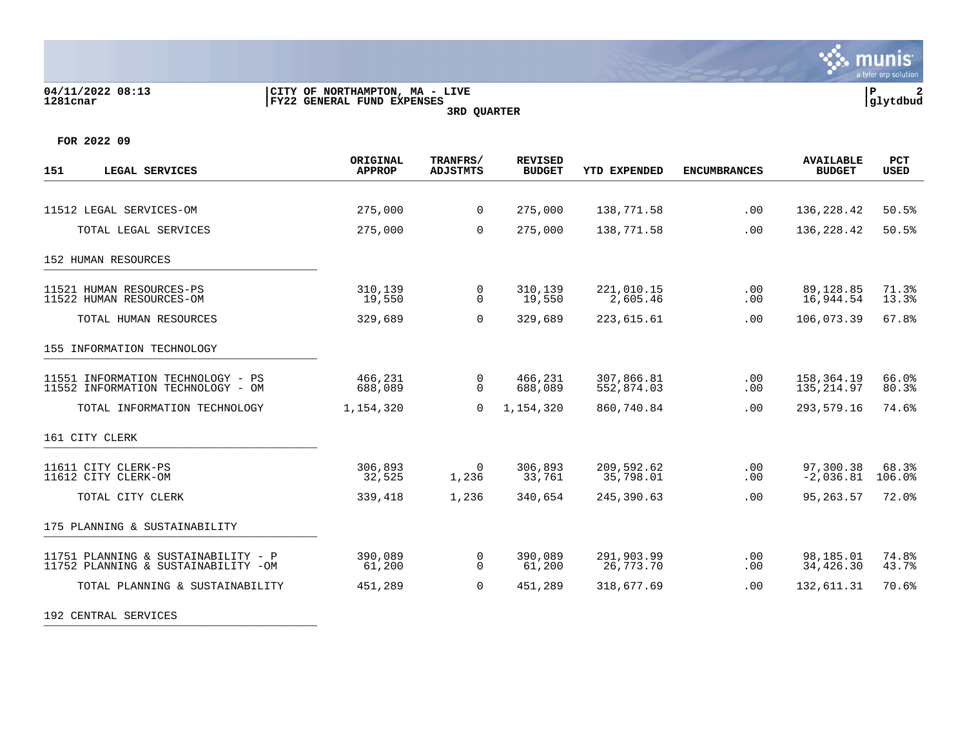

## **04/11/2022 08:13 |CITY OF NORTHAMPTON, MA - LIVE |P 2 1281cnar |FY22 GENERAL FUND EXPENSES |glytdbud 3RD QUARTER**



**FOR 2022 09**

| 151<br>LEGAL SERVICES                                                           | ORIGINAL<br><b>APPROP</b> | TRANFRS/<br><b>ADJSTMTS</b> | <b>REVISED</b><br><b>BUDGET</b> | <b>YTD EXPENDED</b>      | <b>ENCUMBRANCES</b> | <b>AVAILABLE</b><br><b>BUDGET</b> | PCT<br><b>USED</b> |
|---------------------------------------------------------------------------------|---------------------------|-----------------------------|---------------------------------|--------------------------|---------------------|-----------------------------------|--------------------|
|                                                                                 |                           |                             |                                 |                          |                     |                                   |                    |
| 11512 LEGAL SERVICES-OM                                                         | 275,000                   | $\mathbf{0}$                | 275,000                         | 138,771.58               | .00                 | 136, 228. 42                      | 50.5%              |
| TOTAL LEGAL SERVICES                                                            | 275,000                   | $\Omega$                    | 275,000                         | 138,771.58               | .00                 | 136,228.42                        | 50.5%              |
| 152 HUMAN RESOURCES                                                             |                           |                             |                                 |                          |                     |                                   |                    |
| 11521 HUMAN RESOURCES-PS<br>11522 HUMAN RESOURCES-OM                            | 310,139<br>19,550         | 0<br>$\mathbf 0$            | 310,139<br>19,550               | 221,010.15<br>2,605.46   | .00<br>.00          | 89,128.85<br>16,944.54            | 71.3%<br>13.3%     |
| TOTAL HUMAN RESOURCES                                                           | 329,689                   | $\mathbf 0$                 | 329,689                         | 223,615.61               | .00                 | 106,073.39                        | 67.8%              |
| 155 INFORMATION TECHNOLOGY                                                      |                           |                             |                                 |                          |                     |                                   |                    |
| 11551 INFORMATION TECHNOLOGY - PS<br>11552 INFORMATION TECHNOLOGY - OM          | 466,231<br>688,089        | 0<br>$\Omega$               | 466,231<br>688,089              | 307,866.81<br>552,874.03 | .00<br>.00          | 158,364.19<br>135, 214.97         | 66.0%<br>80.3%     |
| TOTAL INFORMATION TECHNOLOGY                                                    | 1,154,320                 | $\Omega$                    | 1,154,320                       | 860,740.84               | .00                 | 293,579.16                        | 74.6%              |
| 161 CITY CLERK                                                                  |                           |                             |                                 |                          |                     |                                   |                    |
| 11611 CITY CLERK-PS<br>11612 CITY CLERK-OM                                      | 306,893<br>32,525         | $\Omega$<br>1,236           | 306,893<br>33,761               | 209,592.62<br>35,798.01  | .00<br>.00          | 97,300.38<br>$-2,036.81$          | 68.3%<br>106.0%    |
| TOTAL CITY CLERK                                                                | 339,418                   | 1,236                       | 340,654                         | 245,390.63               | .00                 | 95, 263.57                        | 72.0%              |
| 175 PLANNING & SUSTAINABILITY                                                   |                           |                             |                                 |                          |                     |                                   |                    |
| 11751 PLANNING & SUSTAINABILITY<br>$-$ P<br>11752 PLANNING & SUSTAINABILITY -OM | 390,089<br>61,200         | 0<br>$\Omega$               | 390,089<br>61,200               | 291,903.99<br>26,773.70  | .00<br>.00          | 98,185.01<br>34,426.30            | 74.8%<br>43.7%     |
| TOTAL PLANNING & SUSTAINABILITY                                                 | 451,289                   | $\mathbf 0$                 | 451,289                         | 318,677.69               | .00                 | 132,611.31                        | 70.6%              |

192 CENTRAL SERVICES \_\_\_\_\_\_\_\_\_\_\_\_\_\_\_\_\_\_\_\_\_\_\_\_\_\_\_\_\_\_\_\_\_\_\_\_\_\_\_\_\_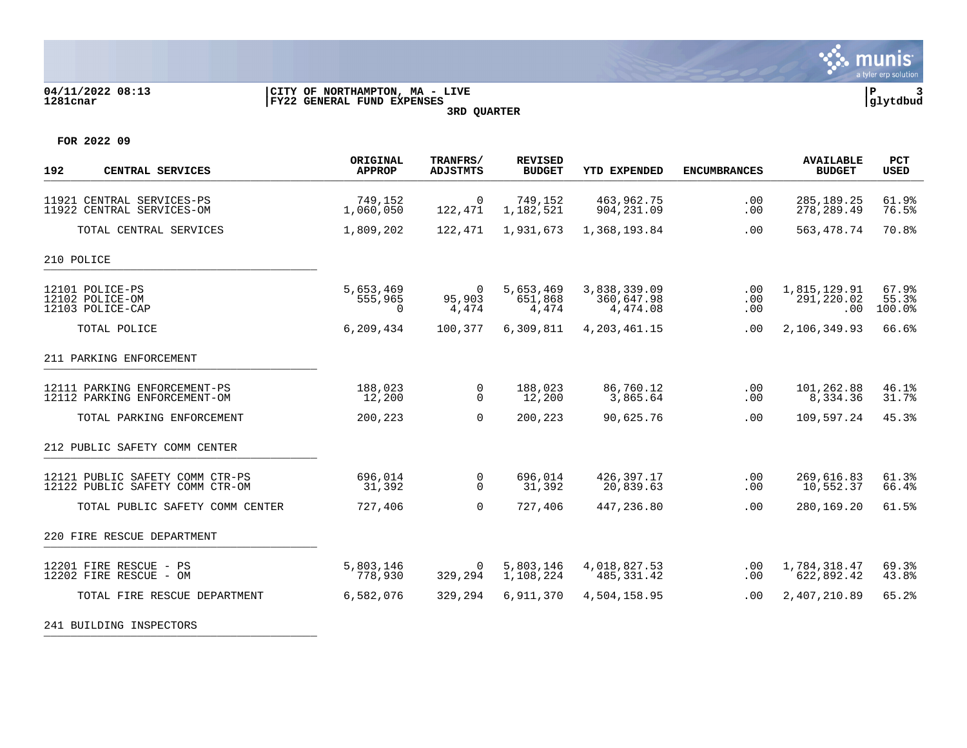

### **04/11/2022 08:13 |CITY OF NORTHAMPTON, MA - LIVE |P 3 1281cnar |FY22 GENERAL FUND EXPENSES |glytdbud 3RD QUARTER**



**FOR 2022 09**

| 192<br>CENTRAL SERVICES                                            | ORIGINAL<br><b>APPROP</b>        | TRANFRS/<br><b>ADJSTMTS</b> | <b>REVISED</b><br><b>BUDGET</b> | YTD EXPENDED                           | <b>ENCUMBRANCES</b> | <b>AVAILABLE</b><br><b>BUDGET</b> | PCT<br><b>USED</b>       |
|--------------------------------------------------------------------|----------------------------------|-----------------------------|---------------------------------|----------------------------------------|---------------------|-----------------------------------|--------------------------|
| 11921 CENTRAL SERVICES-PS<br>11922 CENTRAL SERVICES-OM             | 749,152<br>1,060,050             | $\mathbf 0$<br>122,471      | 749,152<br>1,182,521            | 463,962.75<br>904,231.09               | .00<br>.00          | 285, 189. 25<br>278, 289.49       | 61.9%<br>76.5%           |
| TOTAL CENTRAL SERVICES                                             | 1,809,202                        | 122,471                     | 1,931,673                       | 1,368,193.84                           | .00                 | 563, 478.74                       | 70.8%                    |
| 210 POLICE                                                         |                                  |                             |                                 |                                        |                     |                                   |                          |
| 12101 POLICE-PS<br>12102 POLICE-OM<br>12103 POLICE-CAP             | 5,653,469<br>555,965<br>$\Omega$ | $\Omega$<br>95,903<br>4,474 | 5,653,469<br>651,868<br>4,474   | 3,838,339.09<br>360,647.98<br>4,474.08 | .00<br>.00<br>.00   | 1,815,129.91<br>291,220.02<br>.00 | 67.9%<br>55.3%<br>100.0% |
| TOTAL POLICE                                                       | 6,209,434                        | 100,377                     | 6,309,811                       | 4, 203, 461. 15                        | .00                 | 2,106,349.93                      | 66.6%                    |
| 211 PARKING ENFORCEMENT                                            |                                  |                             |                                 |                                        |                     |                                   |                          |
| 12111 PARKING ENFORCEMENT-PS<br>12112 PARKING ENFORCEMENT-OM       | 188,023<br>12,200                | 0<br>$\mathbf 0$            | 188,023<br>12,200               | 86,760.12<br>3,865.64                  | .00<br>.00          | 101,262.88<br>8,334.36            | 46.1%<br>31.7%           |
| TOTAL PARKING ENFORCEMENT                                          | 200,223                          | $\Omega$                    | 200,223                         | 90,625.76                              | .00                 | 109,597.24                        | 45.3%                    |
| 212 PUBLIC SAFETY COMM CENTER                                      |                                  |                             |                                 |                                        |                     |                                   |                          |
| 12121 PUBLIC SAFETY COMM CTR-PS<br>12122 PUBLIC SAFETY COMM CTR-OM | 696,014<br>31,392                | 0<br>$\Omega$               | 696,014<br>31,392               | 426,397.17<br>20,839.63                | .00<br>.00          | 269,616.83<br>10,552.37           | 61.3%<br>66.4%           |
| TOTAL PUBLIC SAFETY COMM CENTER                                    | 727,406                          | $\Omega$                    | 727,406                         | 447,236.80                             | .00                 | 280,169.20                        | 61.5%                    |
| 220 FIRE RESCUE DEPARTMENT                                         |                                  |                             |                                 |                                        |                     |                                   |                          |
| 12201 FIRE RESCUE<br>$- PS$<br>12202 FIRE RESCUE - OM              | 5,803,146<br>778,930             | 0<br>329,294                | 5,803,146<br>1,108,224          | 4,018,827.53<br>485, 331.42            | .00<br>.00          | 1,784,318.47<br>622,892.42        | 69.3%<br>43.8%           |
| TOTAL FIRE RESCUE DEPARTMENT                                       | 6,582,076                        | 329,294                     | 6,911,370                       | 4,504,158.95                           | .00                 | 2,407,210.89                      | 65.2%                    |

241 BUILDING INSPECTORS \_\_\_\_\_\_\_\_\_\_\_\_\_\_\_\_\_\_\_\_\_\_\_\_\_\_\_\_\_\_\_\_\_\_\_\_\_\_\_\_\_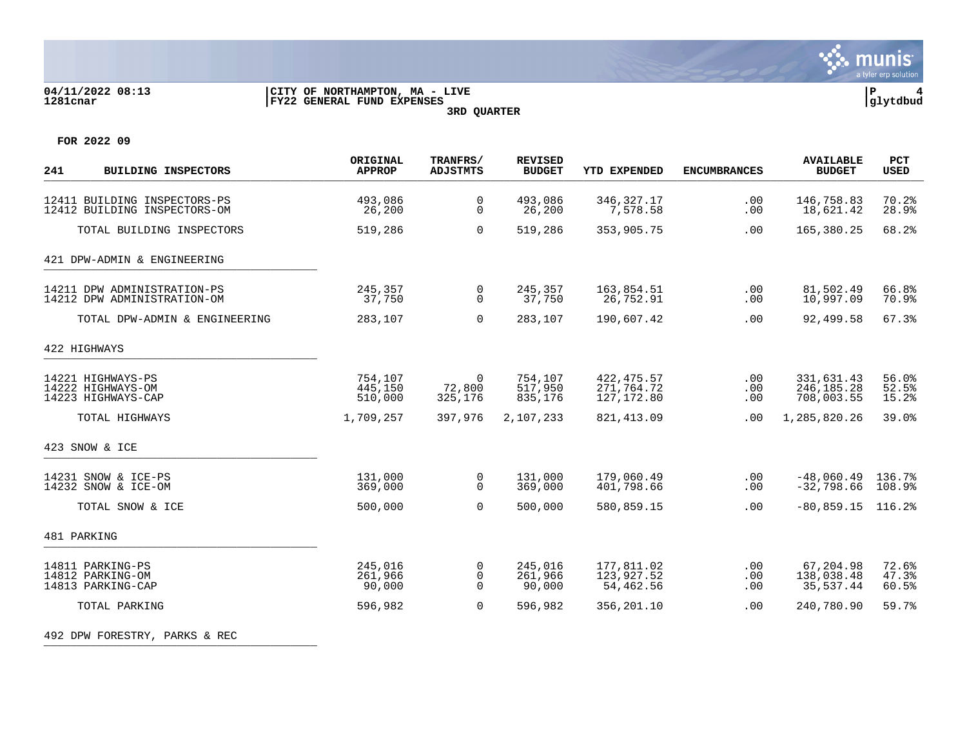

# **04/11/2022 08:13 |CITY OF NORTHAMPTON, MA - LIVE |P 4 1281cnar |FY22 GENERAL FUND EXPENSES |glytdbud**

**3RD QUARTER**



**FOR 2022 09**

| 241<br><b>BUILDING INSPECTORS</b>                            | ORIGINAL<br><b>APPROP</b>     | TRANFRS/<br><b>ADJSTMTS</b>         | <b>REVISED</b><br><b>BUDGET</b> | YTD EXPENDED                             | <b>ENCUMBRANCES</b> | <b>AVAILABLE</b><br><b>BUDGET</b>        | PCT<br><b>USED</b>      |
|--------------------------------------------------------------|-------------------------------|-------------------------------------|---------------------------------|------------------------------------------|---------------------|------------------------------------------|-------------------------|
| 12411 BUILDING INSPECTORS-PS<br>12412 BUILDING INSPECTORS-OM | 493,086<br>26,200             | 0<br>$\mathbf 0$                    | 493,086<br>26,200               | 346, 327. 17<br>7.578.58                 | .00<br>.00          | 146,758.83<br>18,621.42                  | 70.2%<br>28.9%          |
| TOTAL BUILDING INSPECTORS                                    | 519,286                       | 0                                   | 519,286                         | 353,905.75                               | .00                 | 165,380.25                               | 68.2%                   |
| 421 DPW-ADMIN & ENGINEERING                                  |                               |                                     |                                 |                                          |                     |                                          |                         |
| 14211 DPW ADMINISTRATION-PS<br>14212 DPW ADMINISTRATION-OM   | 245,357<br>37,750             | 0<br>$\Omega$                       | 245,357<br>37,750               | 163,854.51<br>26,752.91                  | $.00 \,$<br>.00     | 81,502.49<br>10,997.09                   | 66.8%<br>70.9%          |
| TOTAL DPW-ADMIN & ENGINEERING                                | 283,107                       | 0                                   | 283,107                         | 190,607.42                               | .00                 | 92,499.58                                | 67.3%                   |
| 422 HIGHWAYS                                                 |                               |                                     |                                 |                                          |                     |                                          |                         |
| 14221 HIGHWAYS-PS<br>14222 HIGHWAYS-OM<br>14223 HIGHWAYS-CAP | 754,107<br>445,150<br>510,000 | $\overline{0}$<br>72,800<br>325,176 | 754,107<br>517,950<br>835,176   | 422, 475.57<br>271,764.72<br>127, 172.80 | .00<br>.00<br>.00   | 331,631.43<br>246, 185. 28<br>708,003.55 | 56.0%<br>52.5%<br>15.2% |
| TOTAL HIGHWAYS                                               | 1,709,257                     | 397,976                             | 2,107,233                       | 821, 413.09                              | .00                 | 1,285,820.26                             | 39.0%                   |
| 423 SNOW & ICE                                               |                               |                                     |                                 |                                          |                     |                                          |                         |
| 14231 SNOW & ICE-PS<br>14232 SNOW & ICE-OM                   | 131,000<br>369,000            | 0<br>$\Omega$                       | 131,000<br>369,000              | 179,060.49<br>401,798.66                 | .00<br>.00          | $-48,060.49$<br>$-32,798.66$             | 136.7%<br>108.9%        |
| TOTAL SNOW & ICE                                             | 500,000                       | $\Omega$                            | 500,000                         | 580,859.15                               | .00                 | $-80, 859.15$                            | 116.2%                  |
| 481 PARKING                                                  |                               |                                     |                                 |                                          |                     |                                          |                         |
| 14811 PARKING-PS<br>14812 PARKING-OM<br>14813 PARKING-CAP    | 245,016<br>261,966<br>90,000  | 0<br>0<br>$\Omega$                  | 245,016<br>261,966<br>90,000    | 177,811.02<br>123,927.52<br>54,462.56    | .00<br>.00<br>.00   | 67,204.98<br>138,038.48<br>35,537.44     | 72.6%<br>47.3%<br>60.5% |
| TOTAL PARKING                                                | 596,982                       | $\Omega$                            | 596,982                         | 356,201.10                               | .00                 | 240,780.90                               | 59.7%                   |

492 DPW FORESTRY, PARKS & REC \_\_\_\_\_\_\_\_\_\_\_\_\_\_\_\_\_\_\_\_\_\_\_\_\_\_\_\_\_\_\_\_\_\_\_\_\_\_\_\_\_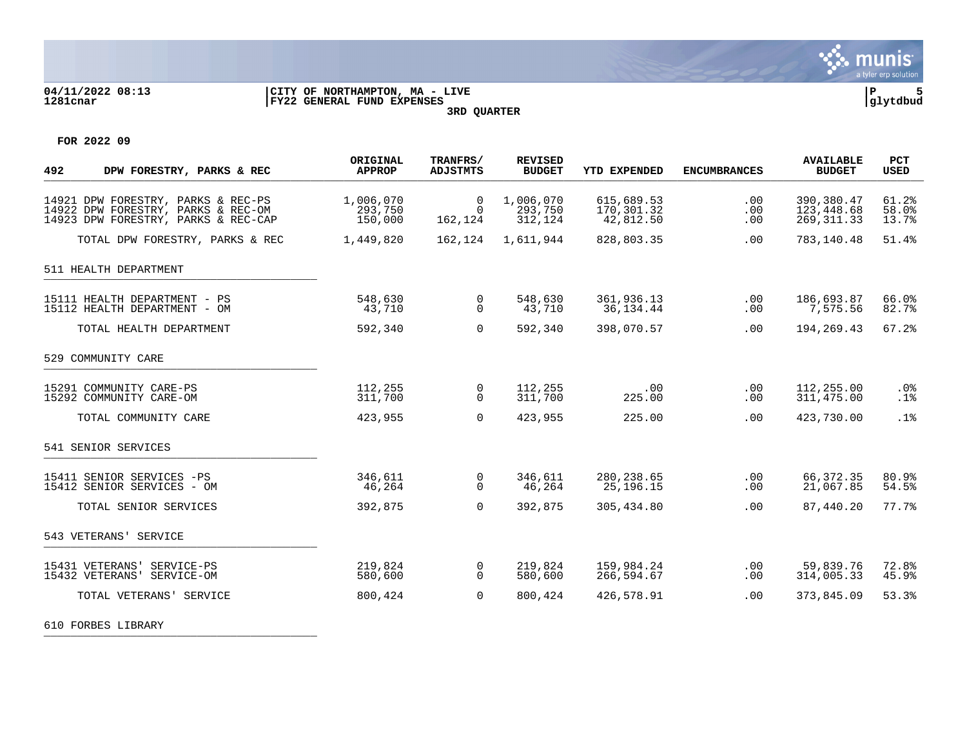

#### **04/11/2022 08:13 |CITY OF NORTHAMPTON, MA - LIVE |P 5 1281cnar |FY22 GENERAL FUND EXPENSES |glytdbud 3RD QUARTER**

**FOR 2022 09**

| 492<br>DPW FORESTRY, PARKS & REC                                                                                | ORIGINAL<br><b>APPROP</b>       | TRANFRS/<br><b>ADJSTMTS</b>    | <b>REVISED</b><br><b>BUDGET</b> | <b>YTD EXPENDED</b>                   | <b>ENCUMBRANCES</b> | <b>AVAILABLE</b><br><b>BUDGET</b>       | PCT<br><b>USED</b>      |
|-----------------------------------------------------------------------------------------------------------------|---------------------------------|--------------------------------|---------------------------------|---------------------------------------|---------------------|-----------------------------------------|-------------------------|
| 14921 DPW FORESTRY, PARKS & REC-PS<br>14922 DPW FORESTRY, PARKS & REC-OM<br>14923 DPW FORESTRY, PARKS & REC-CAP | 1,006,070<br>293,750<br>150,000 | 0<br>$\overline{0}$<br>162,124 | 1,006,070<br>293,750<br>312,124 | 615,689.53<br>170,301.32<br>42,812.50 | .00<br>.00<br>.00   | 390,380.47<br>123,448.68<br>269, 311.33 | 61.2%<br>58.0%<br>13.7% |
| TOTAL DPW FORESTRY, PARKS & REC                                                                                 | 1,449,820                       | 162,124                        | 1,611,944                       | 828,803.35                            | .00                 | 783,140.48                              | 51.4%                   |
| 511 HEALTH DEPARTMENT                                                                                           |                                 |                                |                                 |                                       |                     |                                         |                         |
| 15111 HEALTH DEPARTMENT - PS<br>15112 HEALTH DEPARTMENT - OM                                                    | 548,630<br>43,710               | $\mathbf 0$<br>$\Omega$        | 548,630<br>43,710               | 361,936.13<br>36, 134. 44             | $.00 \,$<br>.00     | 186,693.87<br>7,575.56                  | 66.0%<br>82.7%          |
| TOTAL HEALTH DEPARTMENT                                                                                         | 592,340                         | $\Omega$                       | 592,340                         | 398,070.57                            | .00                 | 194,269.43                              | 67.2%                   |
| 529 COMMUNITY CARE                                                                                              |                                 |                                |                                 |                                       |                     |                                         |                         |
| 15291 COMMUNITY CARE-PS<br>15292 COMMUNITY CARE-OM                                                              | 112,255<br>311,700              | $\overline{0}$<br>$\Omega$     | 112,255<br>311,700              | .00<br>225.00                         | .00<br>.00          | 112,255.00<br>311,475.00                | $.0\%$<br>.1%           |
| TOTAL COMMUNITY CARE                                                                                            | 423,955                         | $\Omega$                       | 423,955                         | 225.00                                | .00                 | 423,730.00                              | .1%                     |
| 541 SENIOR SERVICES                                                                                             |                                 |                                |                                 |                                       |                     |                                         |                         |
| 15411 SENIOR SERVICES -PS<br>15412 SENIOR SERVICES - OM                                                         | 346,611<br>46,264               | 0<br>$\Omega$                  | 346,611<br>46,264               | 280, 238.65<br>25, 196. 15            | .00<br>.00          | 66,372.35<br>21,067.85                  | 80.9%<br>54.5%          |
| TOTAL SENIOR SERVICES                                                                                           | 392,875                         | $\Omega$                       | 392,875                         | 305,434.80                            | .00                 | 87,440.20                               | 77.7%                   |
| 543 VETERANS' SERVICE                                                                                           |                                 |                                |                                 |                                       |                     |                                         |                         |
| 15431 VETERANS' SERVICE-PS<br>15432 VETERANS'<br>SERVICE-OM                                                     | 219,824<br>580,600              | 0<br>$\Omega$                  | 219,824<br>580,600              | 159,984.24<br>266,594.67              | .00<br>.00          | 59,839.76<br>314,005.33                 | 72.8%<br>45.9%          |
| TOTAL VETERANS' SERVICE                                                                                         | 800,424                         | $\Omega$                       | 800,424                         | 426,578.91                            | .00                 | 373,845.09                              | 53.3%                   |

610 FORBES LIBRARY \_\_\_\_\_\_\_\_\_\_\_\_\_\_\_\_\_\_\_\_\_\_\_\_\_\_\_\_\_\_\_\_\_\_\_\_\_\_\_\_\_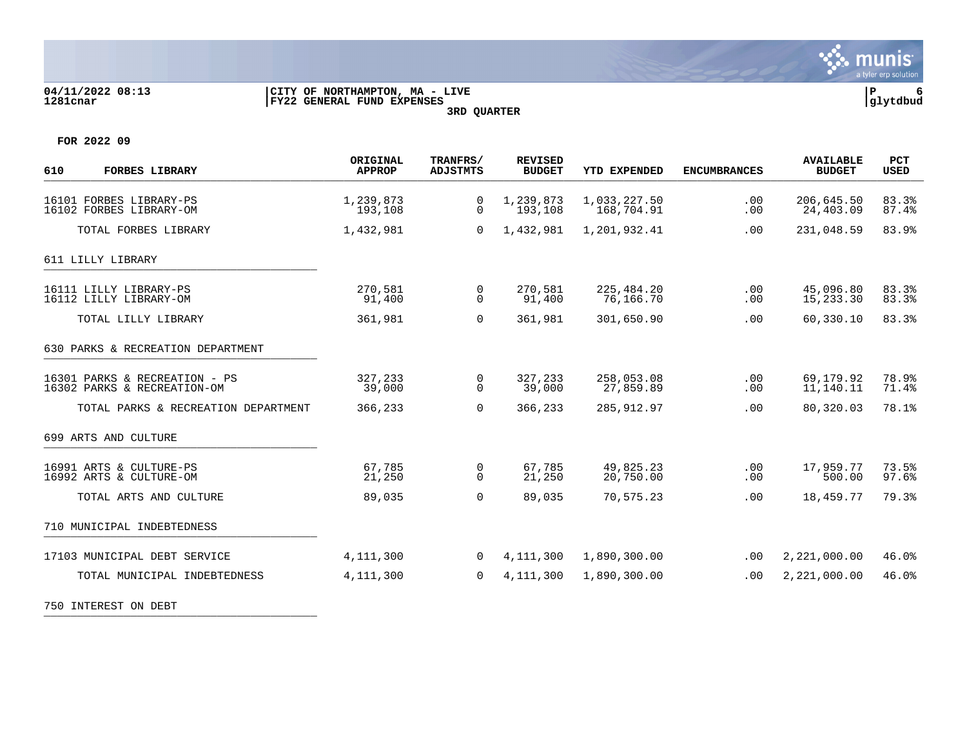

## **04/11/2022 08:13 |CITY OF NORTHAMPTON, MA - LIVE |P 6 1281cnar |FY22 GENERAL FUND EXPENSES |glytdbud 3RD QUARTER**



**FOR 2022 09**

| 610<br><b>FORBES LIBRARY</b>                                 | ORIGINAL<br><b>APPROP</b> | TRANFRS/<br><b>ADJSTMTS</b> | <b>REVISED</b><br><b>BUDGET</b> | YTD EXPENDED               | <b>ENCUMBRANCES</b> | <b>AVAILABLE</b><br><b>BUDGET</b> | <b>PCT</b><br><b>USED</b> |
|--------------------------------------------------------------|---------------------------|-----------------------------|---------------------------------|----------------------------|---------------------|-----------------------------------|---------------------------|
| 16101 FORBES LIBRARY-PS<br>16102 FORBES LIBRARY-OM           | 1,239,873<br>193,108      | 0<br>0                      | 1,239,873<br>193,108            | 1,033,227.50<br>168,704.91 | .00<br>.00          | 206,645.50<br>24,403.09           | 83.3%<br>87.4%            |
| TOTAL FORBES LIBRARY                                         | 1,432,981                 | 0                           | 1,432,981                       | 1,201,932.41               | .00                 | 231,048.59                        | 83.9%                     |
| 611 LILLY LIBRARY                                            |                           |                             |                                 |                            |                     |                                   |                           |
| 16111 LILLY LIBRARY-PS<br>16112 LILLY LIBRARY-OM             | 270,581<br>91,400         | 0<br>$\Omega$               | 270,581<br>91,400               | 225,484.20<br>76,166.70    | .00<br>.00          | 45,096.80<br>15,233.30            | 83.3%<br>83.3%            |
| TOTAL LILLY LIBRARY                                          | 361,981                   | $\mathbf 0$                 | 361,981                         | 301,650.90                 | .00                 | 60,330.10                         | 83.3%                     |
| 630 PARKS & RECREATION DEPARTMENT                            |                           |                             |                                 |                            |                     |                                   |                           |
| 16301 PARKS & RECREATION - PS<br>16302 PARKS & RECREATION-OM | 327,233<br>39,000         | 0<br>$\Omega$               | 327,233<br>39,000               | 258,053.08<br>27,859.89    | .00<br>.00          | 69,179.92<br>11,140.11            | 78.9%<br>71.4%            |
| TOTAL PARKS & RECREATION DEPARTMENT                          | 366,233                   | $\Omega$                    | 366,233                         | 285, 912.97                | .00                 | 80,320.03                         | 78.1%                     |
| 699 ARTS AND CULTURE                                         |                           |                             |                                 |                            |                     |                                   |                           |
| 16991 ARTS & CULTURE-PS<br>16992 ARTS & CULTURE-OM           | 67,785<br>21,250          | 0<br>$\mathbf 0$            | 67,785<br>21,250                | 49,825.23<br>20,750.00     | .00<br>.00          | 17,959.77<br>500.00               | 73.5%<br>97.6%            |
| TOTAL ARTS AND CULTURE                                       | 89,035                    | $\Omega$                    | 89,035                          | 70,575.23                  | .00                 | 18,459.77                         | 79.3%                     |
| 710 MUNICIPAL INDEBTEDNESS                                   |                           |                             |                                 |                            |                     |                                   |                           |
| 17103 MUNICIPAL DEBT SERVICE                                 | 4, 111, 300               | $\Omega$                    | 4,111,300                       | 1,890,300.00               | .00                 | 2,221,000.00                      | 46.0%                     |
| TOTAL MUNICIPAL INDEBTEDNESS                                 | 4,111,300                 | 0                           | 4, 111, 300                     | 1,890,300.00               | .00                 | 2,221,000.00                      | 46.0%                     |
| 750 INTEREST ON DEBT                                         |                           |                             |                                 |                            |                     |                                   |                           |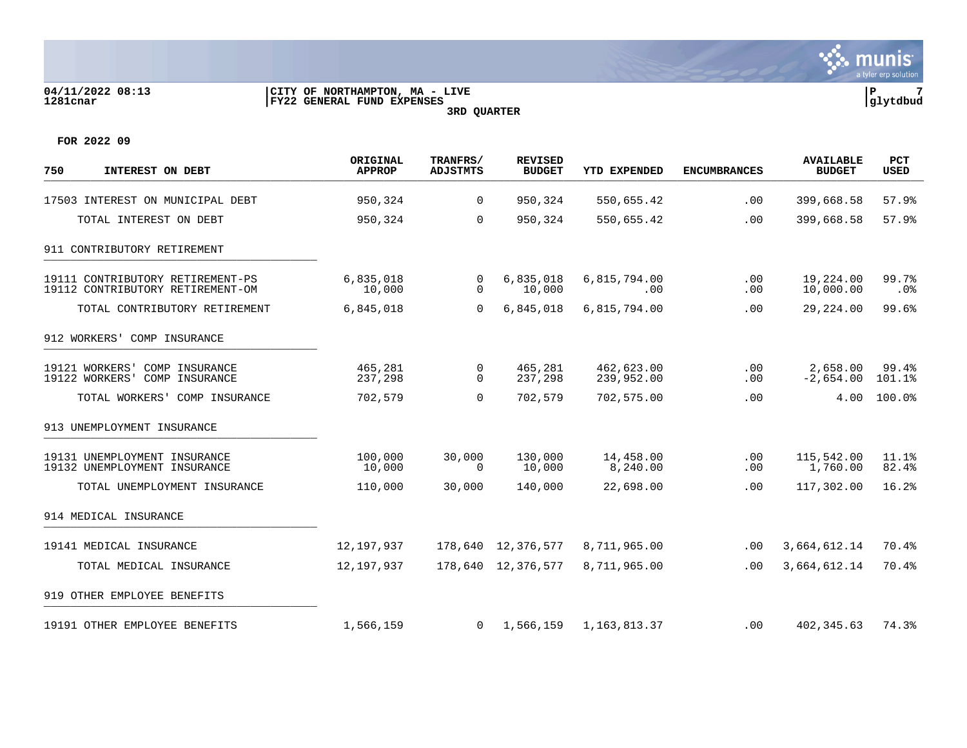

### **04/11/2022 08:13 |CITY OF NORTHAMPTON, MA - LIVE |P 7 1281cnar |FY22 GENERAL FUND EXPENSES |glytdbud 3RD QUARTER**



**FOR 2022 09**

| 750<br>INTEREST ON DEBT                                              | ORIGINAL<br><b>APPROP</b> | TRANFRS/<br><b>ADJSTMTS</b> | <b>REVISED</b><br><b>BUDGET</b> | YTD EXPENDED             | <b>ENCUMBRANCES</b> | <b>AVAILABLE</b><br><b>BUDGET</b> | <b>PCT</b><br><b>USED</b> |
|----------------------------------------------------------------------|---------------------------|-----------------------------|---------------------------------|--------------------------|---------------------|-----------------------------------|---------------------------|
| 17503 INTEREST ON MUNICIPAL DEBT                                     | 950,324                   | $\mathbf 0$                 | 950,324                         | 550,655.42               | .00                 | 399,668.58                        | 57.9%                     |
| TOTAL INTEREST ON DEBT                                               | 950,324                   | $\mathbf 0$                 | 950,324                         | 550,655.42               | .00                 | 399,668.58                        | 57.9%                     |
| 911 CONTRIBUTORY RETIREMENT                                          |                           |                             |                                 |                          |                     |                                   |                           |
| 19111 CONTRIBUTORY RETIREMENT-PS<br>19112 CONTRIBUTORY RETIREMENT-OM | 6,835,018<br>10,000       | 0<br>$\mathbf 0$            | 6,835,018<br>10,000             | 6,815,794.00<br>.00      | .00<br>.00          | 19,224.00<br>10,000.00            | 99.7%<br>.0%              |
| TOTAL CONTRIBUTORY RETIREMENT                                        | 6,845,018                 | $\mathbf 0$                 | 6,845,018                       | 6,815,794.00             | .00                 | 29,224.00                         | 99.6%                     |
| 912 WORKERS' COMP INSURANCE                                          |                           |                             |                                 |                          |                     |                                   |                           |
| 19121 WORKERS'<br>COMP INSURANCE<br>19122 WORKERS'<br>COMP INSURANCE | 465,281<br>237,298        | 0<br>$\Omega$               | 465,281<br>237,298              | 462,623.00<br>239,952.00 | .00<br>.00          | 2,658.00<br>$-2,654.00$           | 99.4%<br>101.1%           |
| TOTAL WORKERS'<br>COMP INSURANCE                                     | 702,579                   | $\overline{0}$              | 702,579                         | 702,575.00               | .00                 | 4.00                              | 100.0%                    |
| 913 UNEMPLOYMENT INSURANCE                                           |                           |                             |                                 |                          |                     |                                   |                           |
| 19131 UNEMPLOYMENT INSURANCE<br>19132 UNEMPLOYMENT INSURANCE         | 100,000<br>10,000         | 30,000<br>$\Omega$          | 130,000<br>10,000               | 14,458.00<br>8,240.00    | .00<br>.00          | 115,542.00<br>1,760.00            | 11.1%<br>82.4%            |
| TOTAL UNEMPLOYMENT INSURANCE                                         | 110,000                   | 30,000                      | 140,000                         | 22,698.00                | .00                 | 117,302.00                        | 16.2%                     |
| 914 MEDICAL INSURANCE                                                |                           |                             |                                 |                          |                     |                                   |                           |
| 19141 MEDICAL INSURANCE                                              | 12,197,937                |                             | 178,640 12,376,577              | 8,711,965.00             | .00                 | 3,664,612.14                      | 70.4%                     |
| TOTAL MEDICAL INSURANCE                                              | 12,197,937                |                             | 178,640 12,376,577              | 8,711,965.00             | .00                 | 3,664,612.14                      | 70.4%                     |
| 919 OTHER EMPLOYEE BENEFITS                                          |                           |                             |                                 |                          |                     |                                   |                           |
| 19191 OTHER EMPLOYEE BENEFITS                                        | 1,566,159                 | $\Omega$                    | 1,566,159                       | 1,163,813.37             | .00                 | 402, 345.63                       | 74.3%                     |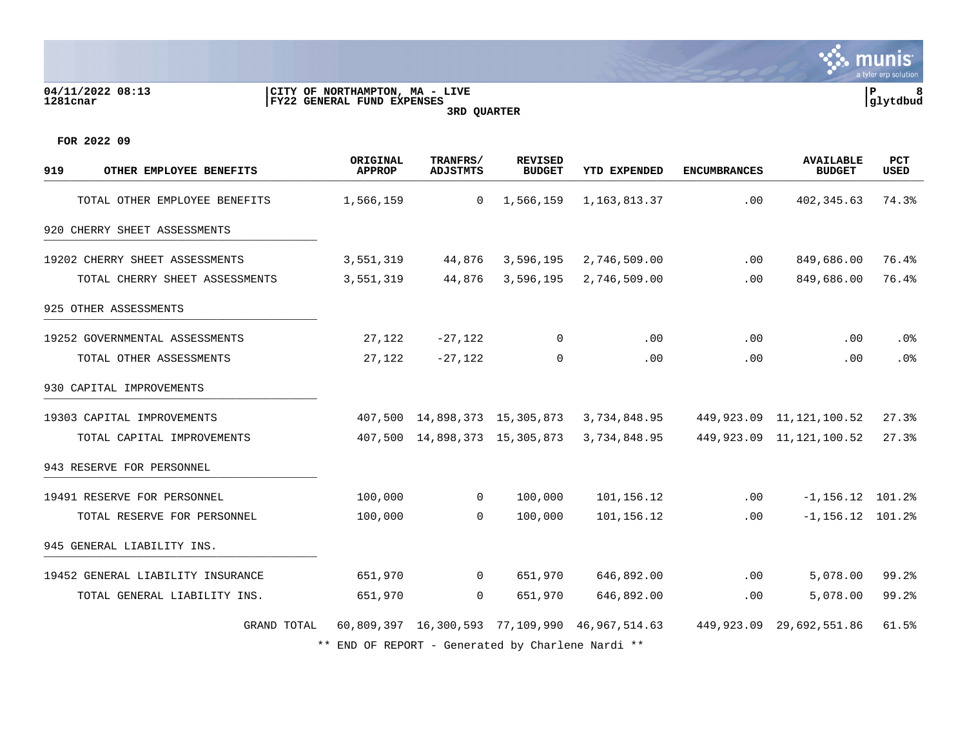# **04/11/2022 08:13 |CITY OF NORTHAMPTON, MA - LIVE |P 8 1281cnar |FY22 GENERAL FUND EXPENSES |glytdbud**



**∵∴** munis a tyler erp solution

**FOR 2022 09**

| 919<br>OTHER EMPLOYEE BENEFITS    | ORIGINAL<br><b>APPROP</b>                         | TRANFRS/<br>ADJSTMTS | <b>REVISED</b><br><b>BUDGET</b> | YTD EXPENDED                                   | <b>ENCUMBRANCES</b> | <b>AVAILABLE</b><br><b>BUDGET</b> | PCT<br><b>USED</b> |
|-----------------------------------|---------------------------------------------------|----------------------|---------------------------------|------------------------------------------------|---------------------|-----------------------------------|--------------------|
| TOTAL OTHER EMPLOYEE BENEFITS     | 1,566,159                                         | $\overline{0}$       | 1,566,159                       | 1,163,813.37                                   | .00                 | 402, 345.63                       | 74.3%              |
| 920 CHERRY SHEET ASSESSMENTS      |                                                   |                      |                                 |                                                |                     |                                   |                    |
| 19202 CHERRY SHEET ASSESSMENTS    | 3,551,319                                         | 44,876               | 3,596,195                       | 2,746,509.00                                   | .00.                | 849,686.00                        | 76.4%              |
| TOTAL CHERRY SHEET ASSESSMENTS    | 3,551,319                                         | 44,876               | 3,596,195                       | 2,746,509.00                                   | .00                 | 849,686.00                        | 76.4%              |
| 925 OTHER ASSESSMENTS             |                                                   |                      |                                 |                                                |                     |                                   |                    |
| 19252 GOVERNMENTAL ASSESSMENTS    | 27,122                                            | $-27,122$            | 0                               | .00                                            | .00                 | .00                               | .0%                |
| TOTAL OTHER ASSESSMENTS           | 27,122                                            | $-27,122$            | $\Omega$                        | .00                                            | .00.                | .00.                              | .0%                |
| 930 CAPITAL IMPROVEMENTS          |                                                   |                      |                                 |                                                |                     |                                   |                    |
| 19303 CAPITAL IMPROVEMENTS        | 407,500                                           |                      | 14,898,373 15,305,873           | 3,734,848.95                                   |                     | 449, 923.09 11, 121, 100.52       | 27.3%              |
| TOTAL CAPITAL IMPROVEMENTS        | 407,500                                           |                      | 14,898,373 15,305,873           | 3,734,848.95                                   |                     | 449, 923.09 11, 121, 100.52       | 27.3%              |
| 943 RESERVE FOR PERSONNEL         |                                                   |                      |                                 |                                                |                     |                                   |                    |
| 19491 RESERVE FOR PERSONNEL       | 100,000                                           | $\overline{0}$       | 100,000                         | 101,156.12                                     | .00                 | $-1, 156, 12$ 101.2%              |                    |
| TOTAL RESERVE FOR PERSONNEL       | 100,000                                           | $\Omega$             | 100,000                         | 101,156.12                                     | .00                 | $-1, 156.12$ 101.2%               |                    |
| 945 GENERAL LIABILITY INS.        |                                                   |                      |                                 |                                                |                     |                                   |                    |
| 19452 GENERAL LIABILITY INSURANCE | 651,970                                           | $\overline{0}$       | 651,970                         | 646,892.00                                     | .00                 | 5,078.00                          | 99.2%              |
| TOTAL GENERAL LIABILITY INS.      | 651,970                                           | $\Omega$             | 651,970                         | 646,892.00                                     | .00                 | 5,078.00                          | 99.2%              |
| GRAND TOTAL                       |                                                   |                      |                                 | 60,809,397 16,300,593 77,109,990 46,967,514.63 | 449.923.09          | 29,692,551.86                     | 61.5%              |
|                                   | ** END OF REPORT - Generated by Charlene Nardi ** |                      |                                 |                                                |                     |                                   |                    |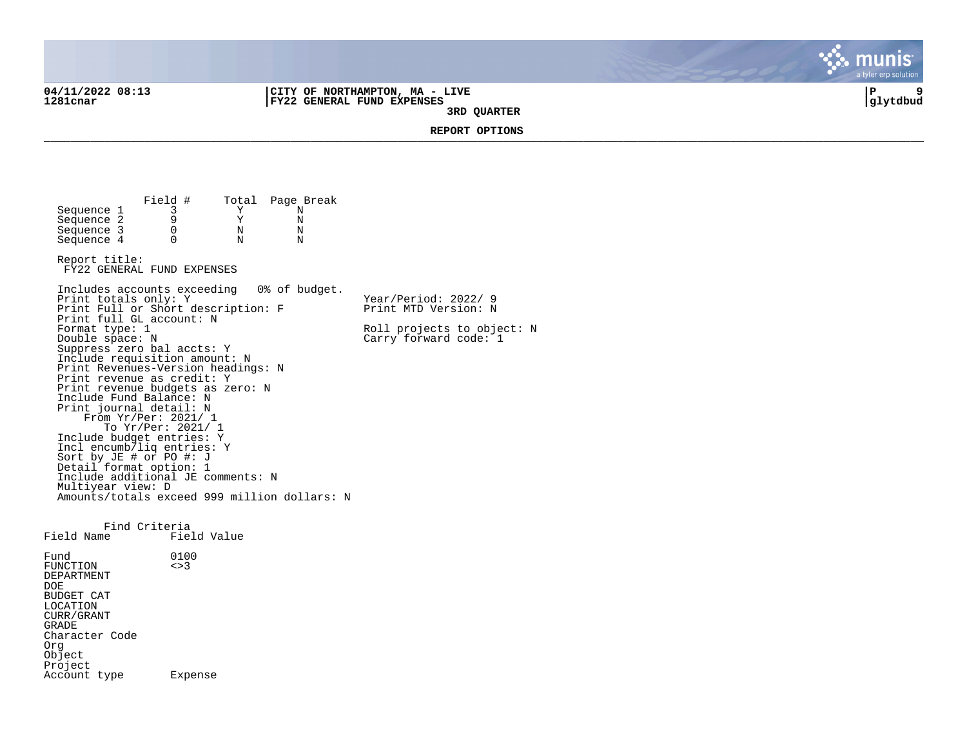**04/11/2022 08:13 |CITY OF NORTHAMPTON, MA - LIVE |P 9 1281cnar |FY22 GENERAL FUND EXPENSES |glytdbud 3RD QUARTER**



**REPORT OPTIONS**  \_\_\_\_\_\_\_\_\_\_\_\_\_\_\_\_\_\_\_\_\_\_\_\_\_\_\_\_\_\_\_\_\_\_\_\_\_\_\_\_\_\_\_\_\_\_\_\_\_\_\_\_\_\_\_\_\_\_\_\_\_\_\_\_\_\_\_\_\_\_\_\_\_\_\_\_\_\_\_\_\_\_\_\_\_\_\_\_\_\_\_\_\_\_\_\_\_\_\_\_\_\_\_\_\_\_\_\_\_\_\_\_\_\_\_\_\_\_\_\_\_\_\_\_\_\_\_\_\_\_\_\_

Field # Total Page Break<br>3 Y N Sequence 1 3 Y N<br>Sequence 2 9 Y N Sequence 2 9 9 Y N<br>Sequence 3 0 N N Sequence 3 0 N N<br>Sequence 4 0 N N  $Sequence 4$ Report title: FY22 GENERAL FUND EXPENSES Includes accounts exceeding 0% of budget. Print totals only: Y Y Year/Period: 2022/ 9 Print Full or Short description: F Print MTD Version: N Print full GL account: N<br>Format type: 1 Format type: 1 Roll projects to object: N<br>
Double space: N<br>
Carry forward code: 1  $Carry$  forward code:  $1$ Suppress zero bal accts: Y Include requisition amount: N Print Revenues-Version headings: N Print revenue as credit: Y Print revenue budgets as zero: N Include Fund Balance: N Print journal detail: N From Yr/Per: 2021/ 1 To Yr/Per: 2021/ 1 Include budget entries: Y Incl encumb/liq entries: Y Sort by JE # or PO #: J Detail format option: 1 Include additional JE comments: N Multiyear view: D Amounts/totals exceed 999 million dollars: N Find Criteria<br>Field Name Fiel Field Value Fund 0100<br>FUNCTION <>3 FUNCTION DEPARTMENT DOE BUDGET CAT LOCATION CURR/GRANT GRADE Character Code Org **Object** Project Account type Expense